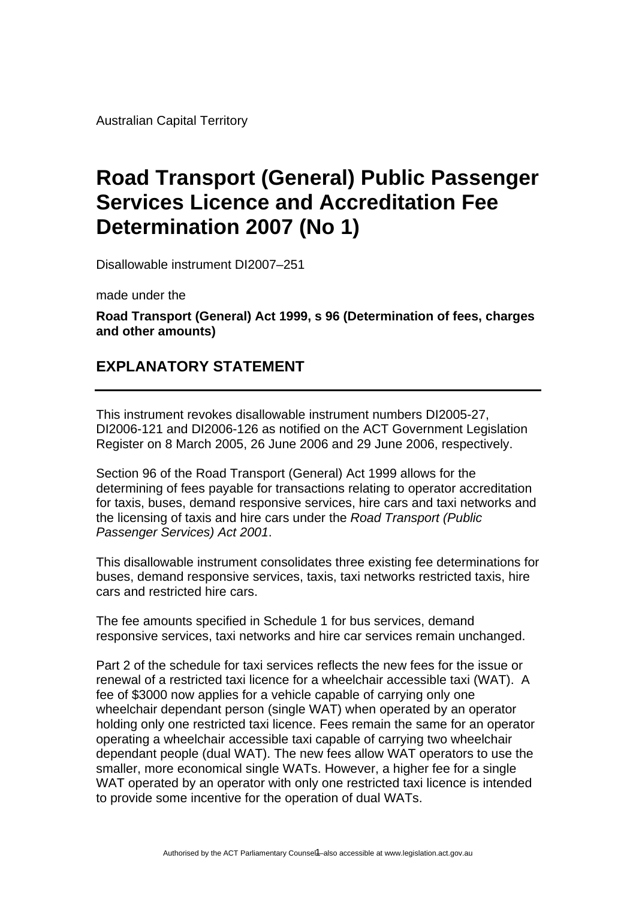Australian Capital Territory

## **Road Transport (General) Public Passenger Services Licence and Accreditation Fee Determination 2007 (No 1)**

Disallowable instrument DI2007–251

made under the

**Road Transport (General) Act 1999, s 96 (Determination of fees, charges and other amounts)** 

## **EXPLANATORY STATEMENT**

This instrument revokes disallowable instrument numbers DI2005-27, DI2006-121 and DI2006-126 as notified on the ACT Government Legislation Register on 8 March 2005, 26 June 2006 and 29 June 2006, respectively.

Section 96 of the Road Transport (General) Act 1999 allows for the determining of fees payable for transactions relating to operator accreditation for taxis, buses, demand responsive services, hire cars and taxi networks and the licensing of taxis and hire cars under the *Road Transport (Public Passenger Services) Act 2001*.

This disallowable instrument consolidates three existing fee determinations for buses, demand responsive services, taxis, taxi networks restricted taxis, hire cars and restricted hire cars.

The fee amounts specified in Schedule 1 for bus services, demand responsive services, taxi networks and hire car services remain unchanged.

Part 2 of the schedule for taxi services reflects the new fees for the issue or renewal of a restricted taxi licence for a wheelchair accessible taxi (WAT). A fee of \$3000 now applies for a vehicle capable of carrying only one wheelchair dependant person (single WAT) when operated by an operator holding only one restricted taxi licence. Fees remain the same for an operator operating a wheelchair accessible taxi capable of carrying two wheelchair dependant people (dual WAT). The new fees allow WAT operators to use the smaller, more economical single WATs. However, a higher fee for a single WAT operated by an operator with only one restricted taxi licence is intended to provide some incentive for the operation of dual WATs.